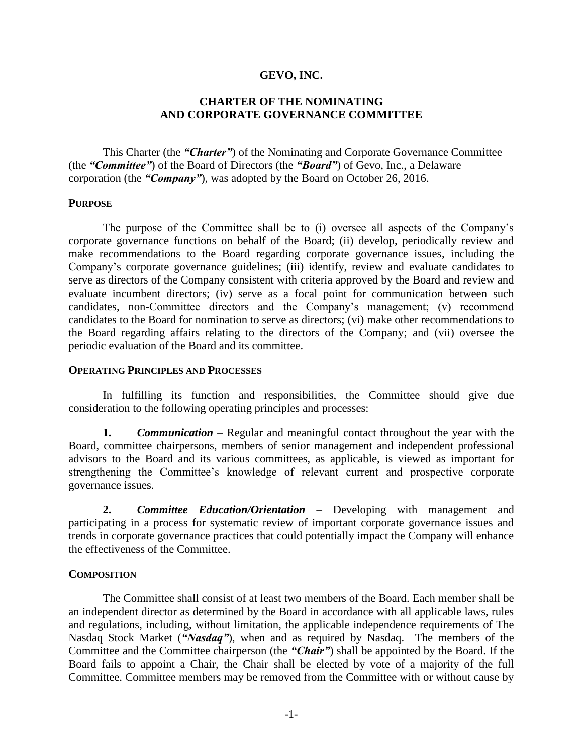# **GEVO, INC.**

# **CHARTER OF THE NOMINATING AND CORPORATE GOVERNANCE COMMITTEE**

This Charter (the *"Charter"*) of the Nominating and Corporate Governance Committee (the *"Committee"*) of the Board of Directors (the *"Board"*) of Gevo, Inc., a Delaware corporation (the *"Company"*), was adopted by the Board on October 26, 2016.

## **PURPOSE**

The purpose of the Committee shall be to (i) oversee all aspects of the Company's corporate governance functions on behalf of the Board; (ii) develop, periodically review and make recommendations to the Board regarding corporate governance issues, including the Company's corporate governance guidelines; (iii) identify, review and evaluate candidates to serve as directors of the Company consistent with criteria approved by the Board and review and evaluate incumbent directors; (iv) serve as a focal point for communication between such candidates, non-Committee directors and the Company's management; (v) recommend candidates to the Board for nomination to serve as directors; (vi) make other recommendations to the Board regarding affairs relating to the directors of the Company; and (vii) oversee the periodic evaluation of the Board and its committee.

### **OPERATING PRINCIPLES AND PROCESSES**

In fulfilling its function and responsibilities, the Committee should give due consideration to the following operating principles and processes:

**1.** *Communication* – Regular and meaningful contact throughout the year with the Board, committee chairpersons, members of senior management and independent professional advisors to the Board and its various committees, as applicable, is viewed as important for strengthening the Committee's knowledge of relevant current and prospective corporate governance issues.

**2.** *Committee Education/Orientation* – Developing with management and participating in a process for systematic review of important corporate governance issues and trends in corporate governance practices that could potentially impact the Company will enhance the effectiveness of the Committee.

## **COMPOSITION**

The Committee shall consist of at least two members of the Board. Each member shall be an independent director as determined by the Board in accordance with all applicable laws, rules and regulations, including, without limitation, the applicable independence requirements of The Nasdaq Stock Market (*"Nasdaq"*), when and as required by Nasdaq. The members of the Committee and the Committee chairperson (the *"Chair"*) shall be appointed by the Board. If the Board fails to appoint a Chair, the Chair shall be elected by vote of a majority of the full Committee. Committee members may be removed from the Committee with or without cause by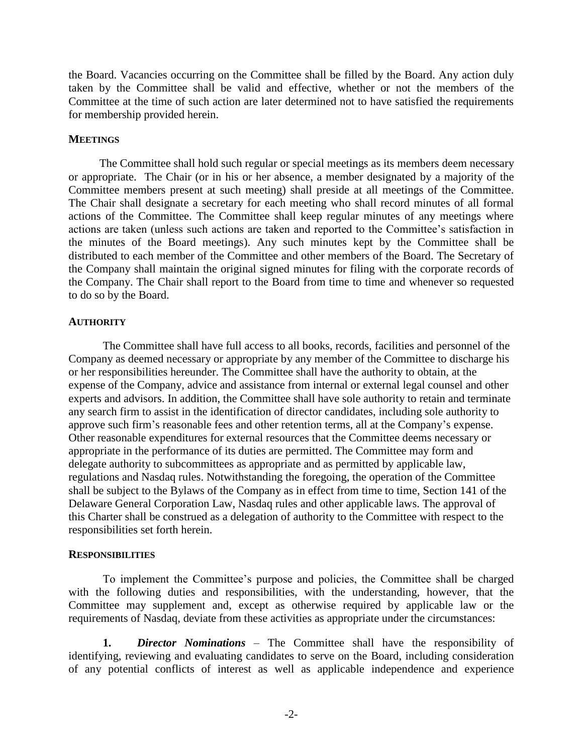the Board. Vacancies occurring on the Committee shall be filled by the Board. Any action duly taken by the Committee shall be valid and effective, whether or not the members of the Committee at the time of such action are later determined not to have satisfied the requirements for membership provided herein.

### **MEETINGS**

The Committee shall hold such regular or special meetings as its members deem necessary or appropriate. The Chair (or in his or her absence, a member designated by a majority of the Committee members present at such meeting) shall preside at all meetings of the Committee. The Chair shall designate a secretary for each meeting who shall record minutes of all formal actions of the Committee. The Committee shall keep regular minutes of any meetings where actions are taken (unless such actions are taken and reported to the Committee's satisfaction in the minutes of the Board meetings). Any such minutes kept by the Committee shall be distributed to each member of the Committee and other members of the Board. The Secretary of the Company shall maintain the original signed minutes for filing with the corporate records of the Company. The Chair shall report to the Board from time to time and whenever so requested to do so by the Board.

### **AUTHORITY**

The Committee shall have full access to all books, records, facilities and personnel of the Company as deemed necessary or appropriate by any member of the Committee to discharge his or her responsibilities hereunder. The Committee shall have the authority to obtain, at the expense of the Company, advice and assistance from internal or external legal counsel and other experts and advisors. In addition, the Committee shall have sole authority to retain and terminate any search firm to assist in the identification of director candidates, including sole authority to approve such firm's reasonable fees and other retention terms, all at the Company's expense. Other reasonable expenditures for external resources that the Committee deems necessary or appropriate in the performance of its duties are permitted. The Committee may form and delegate authority to subcommittees as appropriate and as permitted by applicable law, regulations and Nasdaq rules. Notwithstanding the foregoing, the operation of the Committee shall be subject to the Bylaws of the Company as in effect from time to time, Section 141 of the Delaware General Corporation Law, Nasdaq rules and other applicable laws. The approval of this Charter shall be construed as a delegation of authority to the Committee with respect to the responsibilities set forth herein.

#### **RESPONSIBILITIES**

To implement the Committee's purpose and policies, the Committee shall be charged with the following duties and responsibilities, with the understanding, however, that the Committee may supplement and, except as otherwise required by applicable law or the requirements of Nasdaq, deviate from these activities as appropriate under the circumstances:

**1.** *Director Nominations –* The Committee shall have the responsibility of identifying, reviewing and evaluating candidates to serve on the Board, including consideration of any potential conflicts of interest as well as applicable independence and experience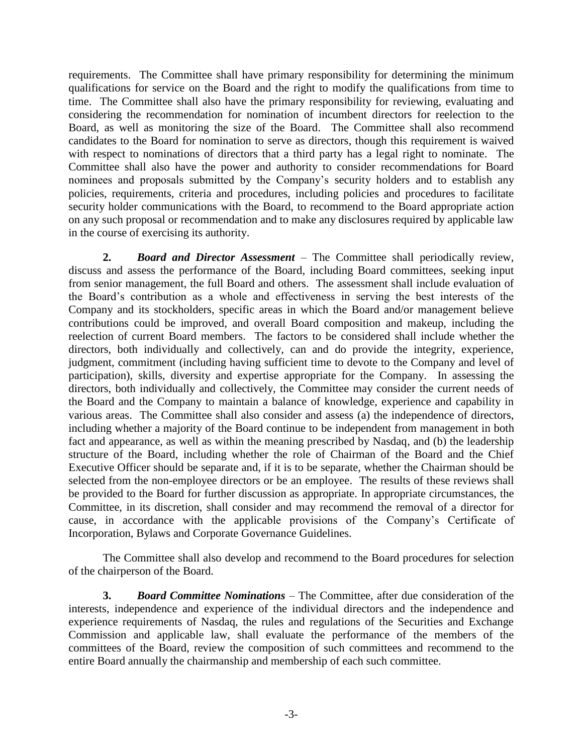requirements. The Committee shall have primary responsibility for determining the minimum qualifications for service on the Board and the right to modify the qualifications from time to time. The Committee shall also have the primary responsibility for reviewing, evaluating and considering the recommendation for nomination of incumbent directors for reelection to the Board, as well as monitoring the size of the Board. The Committee shall also recommend candidates to the Board for nomination to serve as directors, though this requirement is waived with respect to nominations of directors that a third party has a legal right to nominate. The Committee shall also have the power and authority to consider recommendations for Board nominees and proposals submitted by the Company's security holders and to establish any policies, requirements, criteria and procedures, including policies and procedures to facilitate security holder communications with the Board, to recommend to the Board appropriate action on any such proposal or recommendation and to make any disclosures required by applicable law in the course of exercising its authority.

**2.** *Board and Director Assessment –* The Committee shall periodically review, discuss and assess the performance of the Board, including Board committees, seeking input from senior management, the full Board and others. The assessment shall include evaluation of the Board's contribution as a whole and effectiveness in serving the best interests of the Company and its stockholders, specific areas in which the Board and/or management believe contributions could be improved, and overall Board composition and makeup, including the reelection of current Board members. The factors to be considered shall include whether the directors, both individually and collectively, can and do provide the integrity, experience, judgment, commitment (including having sufficient time to devote to the Company and level of participation), skills, diversity and expertise appropriate for the Company. In assessing the directors, both individually and collectively, the Committee may consider the current needs of the Board and the Company to maintain a balance of knowledge, experience and capability in various areas. The Committee shall also consider and assess (a) the independence of directors, including whether a majority of the Board continue to be independent from management in both fact and appearance, as well as within the meaning prescribed by Nasdaq, and (b) the leadership structure of the Board, including whether the role of Chairman of the Board and the Chief Executive Officer should be separate and, if it is to be separate, whether the Chairman should be selected from the non-employee directors or be an employee. The results of these reviews shall be provided to the Board for further discussion as appropriate. In appropriate circumstances, the Committee, in its discretion, shall consider and may recommend the removal of a director for cause, in accordance with the applicable provisions of the Company's Certificate of Incorporation, Bylaws and Corporate Governance Guidelines.

The Committee shall also develop and recommend to the Board procedures for selection of the chairperson of the Board.

**3.** *Board Committee Nominations –* The Committee, after due consideration of the interests, independence and experience of the individual directors and the independence and experience requirements of Nasdaq, the rules and regulations of the Securities and Exchange Commission and applicable law, shall evaluate the performance of the members of the committees of the Board, review the composition of such committees and recommend to the entire Board annually the chairmanship and membership of each such committee.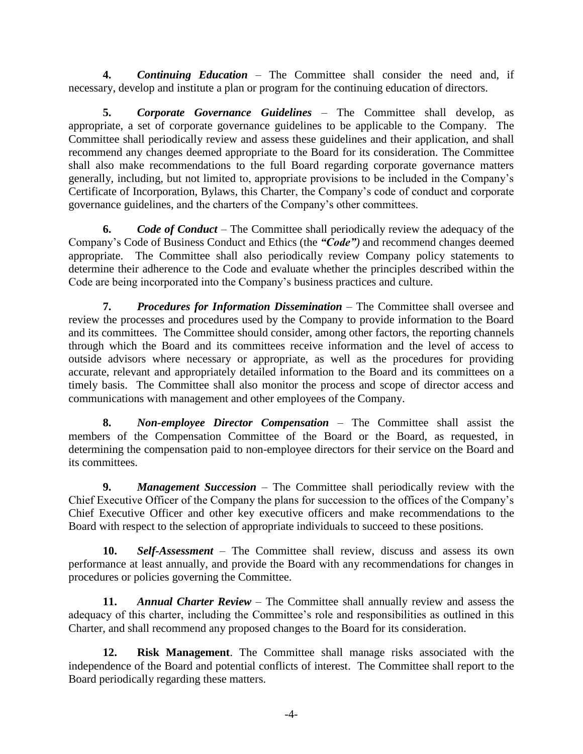**4.** *Continuing Education –* The Committee shall consider the need and, if necessary, develop and institute a plan or program for the continuing education of directors.

**5.** *Corporate Governance Guidelines –* The Committee shall develop, as appropriate, a set of corporate governance guidelines to be applicable to the Company. The Committee shall periodically review and assess these guidelines and their application, and shall recommend any changes deemed appropriate to the Board for its consideration. The Committee shall also make recommendations to the full Board regarding corporate governance matters generally, including, but not limited to, appropriate provisions to be included in the Company's Certificate of Incorporation, Bylaws, this Charter, the Company's code of conduct and corporate governance guidelines, and the charters of the Company's other committees.

**6.** *Code of Conduct –* The Committee shall periodically review the adequacy of the Company's Code of Business Conduct and Ethics (the *"Code")* and recommend changes deemed appropriate. The Committee shall also periodically review Company policy statements to determine their adherence to the Code and evaluate whether the principles described within the Code are being incorporated into the Company's business practices and culture.

**7.** *Procedures for Information Dissemination –* The Committee shall oversee and review the processes and procedures used by the Company to provide information to the Board and its committees. The Committee should consider, among other factors, the reporting channels through which the Board and its committees receive information and the level of access to outside advisors where necessary or appropriate, as well as the procedures for providing accurate, relevant and appropriately detailed information to the Board and its committees on a timely basis. The Committee shall also monitor the process and scope of director access and communications with management and other employees of the Company.

**8.** *Non-employee Director Compensation –* The Committee shall assist the members of the Compensation Committee of the Board or the Board, as requested, in determining the compensation paid to non-employee directors for their service on the Board and its committees.

**9.** *Management Succession –* The Committee shall periodically review with the Chief Executive Officer of the Company the plans for succession to the offices of the Company's Chief Executive Officer and other key executive officers and make recommendations to the Board with respect to the selection of appropriate individuals to succeed to these positions.

**10.** *Self-Assessment –* The Committee shall review, discuss and assess its own performance at least annually, and provide the Board with any recommendations for changes in procedures or policies governing the Committee.

**11.** *Annual Charter Review –* The Committee shall annually review and assess the adequacy of this charter, including the Committee's role and responsibilities as outlined in this Charter, and shall recommend any proposed changes to the Board for its consideration.

**12. Risk Management**. The Committee shall manage risks associated with the independence of the Board and potential conflicts of interest. The Committee shall report to the Board periodically regarding these matters.